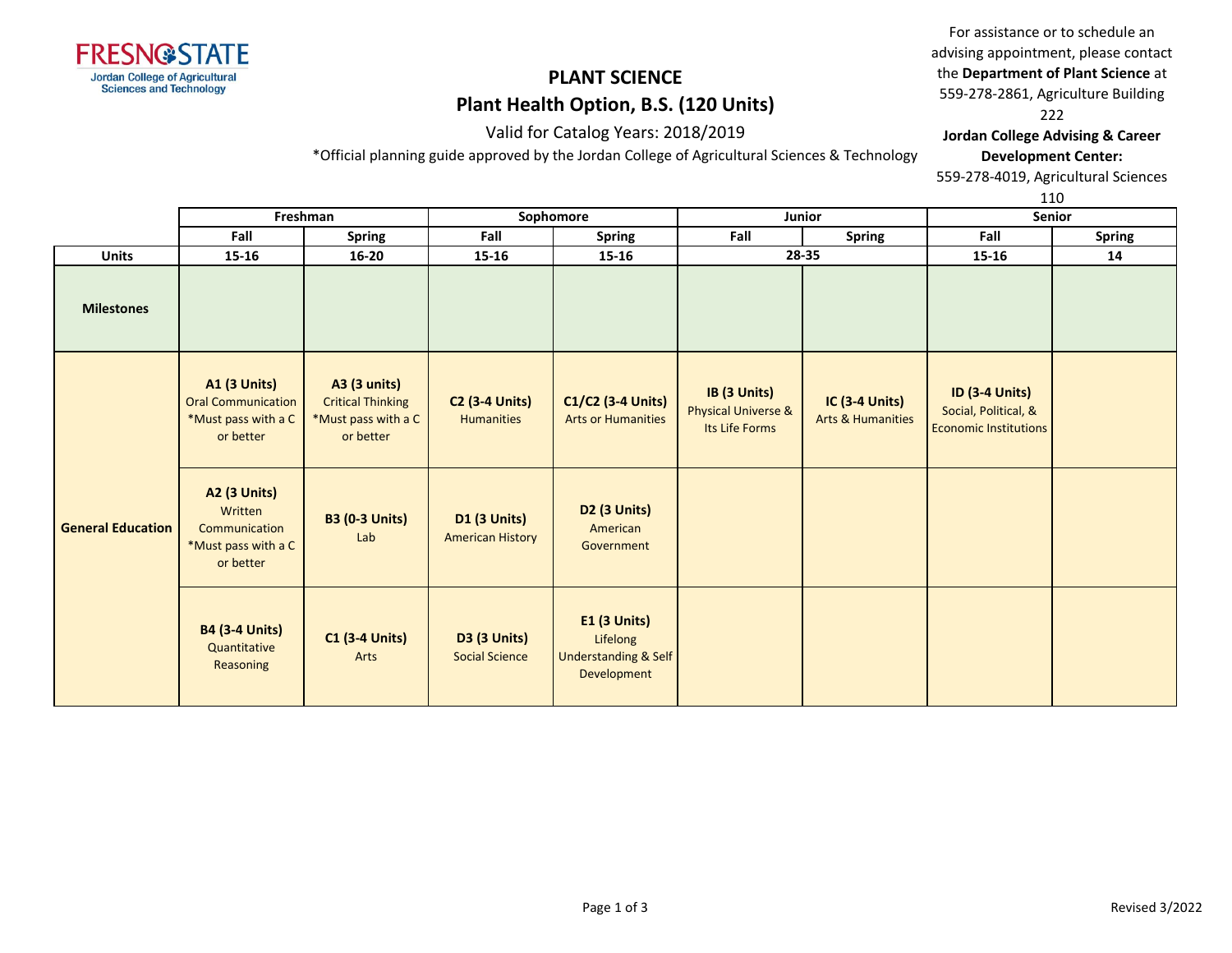

For assistance or to schedule an advising appointment, please contact the **Department of Plant Science** at 559-278-2861, Agriculture Building 222 **Jordan College Advising & Career** 

Valid for Catalog Years: 2018/2019

\*Official planning guide approved by the Jordan College of Agricultural Sciences & Technology

**Development Center:** 559-278-4019, Agricultural Sciences

110

|                          | Freshman                                                                             |                                                                                     | Sophomore                                      |                                                                                   | Junior                                                           |                                                       | <b>Senior</b>                                                                 |               |
|--------------------------|--------------------------------------------------------------------------------------|-------------------------------------------------------------------------------------|------------------------------------------------|-----------------------------------------------------------------------------------|------------------------------------------------------------------|-------------------------------------------------------|-------------------------------------------------------------------------------|---------------|
|                          | Fall                                                                                 | <b>Spring</b>                                                                       | Fall                                           | <b>Spring</b>                                                                     | Fall                                                             | <b>Spring</b>                                         | Fall                                                                          | <b>Spring</b> |
| <b>Units</b>             | $15 - 16$                                                                            | $16 - 20$                                                                           | $15 - 16$                                      | 15-16                                                                             |                                                                  | 28-35                                                 | $15 - 16$                                                                     | 14            |
| <b>Milestones</b>        |                                                                                      |                                                                                     |                                                |                                                                                   |                                                                  |                                                       |                                                                               |               |
|                          | <b>A1 (3 Units)</b><br><b>Oral Communication</b><br>*Must pass with a C<br>or better | <b>A3 (3 units)</b><br><b>Critical Thinking</b><br>*Must pass with a C<br>or better | <b>C2 (3-4 Units)</b><br><b>Humanities</b>     | C1/C2 (3-4 Units)<br><b>Arts or Humanities</b>                                    | IB (3 Units)<br><b>Physical Universe &amp;</b><br>Its Life Forms | <b>IC (3-4 Units)</b><br><b>Arts &amp; Humanities</b> | <b>ID (3-4 Units)</b><br>Social, Political, &<br><b>Economic Institutions</b> |               |
| <b>General Education</b> | <b>A2 (3 Units)</b><br>Written<br>Communication<br>*Must pass with a C<br>or better  | <b>B3 (0-3 Units)</b><br>Lab                                                        | <b>D1 (3 Units)</b><br><b>American History</b> | D <sub>2</sub> (3 Units)<br>American<br>Government                                |                                                                  |                                                       |                                                                               |               |
|                          | <b>B4 (3-4 Units)</b><br>Quantitative<br>Reasoning                                   | <b>C1 (3-4 Units)</b><br>Arts                                                       | <b>D3 (3 Units)</b><br><b>Social Science</b>   | <b>E1 (3 Units)</b><br>Lifelong<br><b>Understanding &amp; Self</b><br>Development |                                                                  |                                                       |                                                                               |               |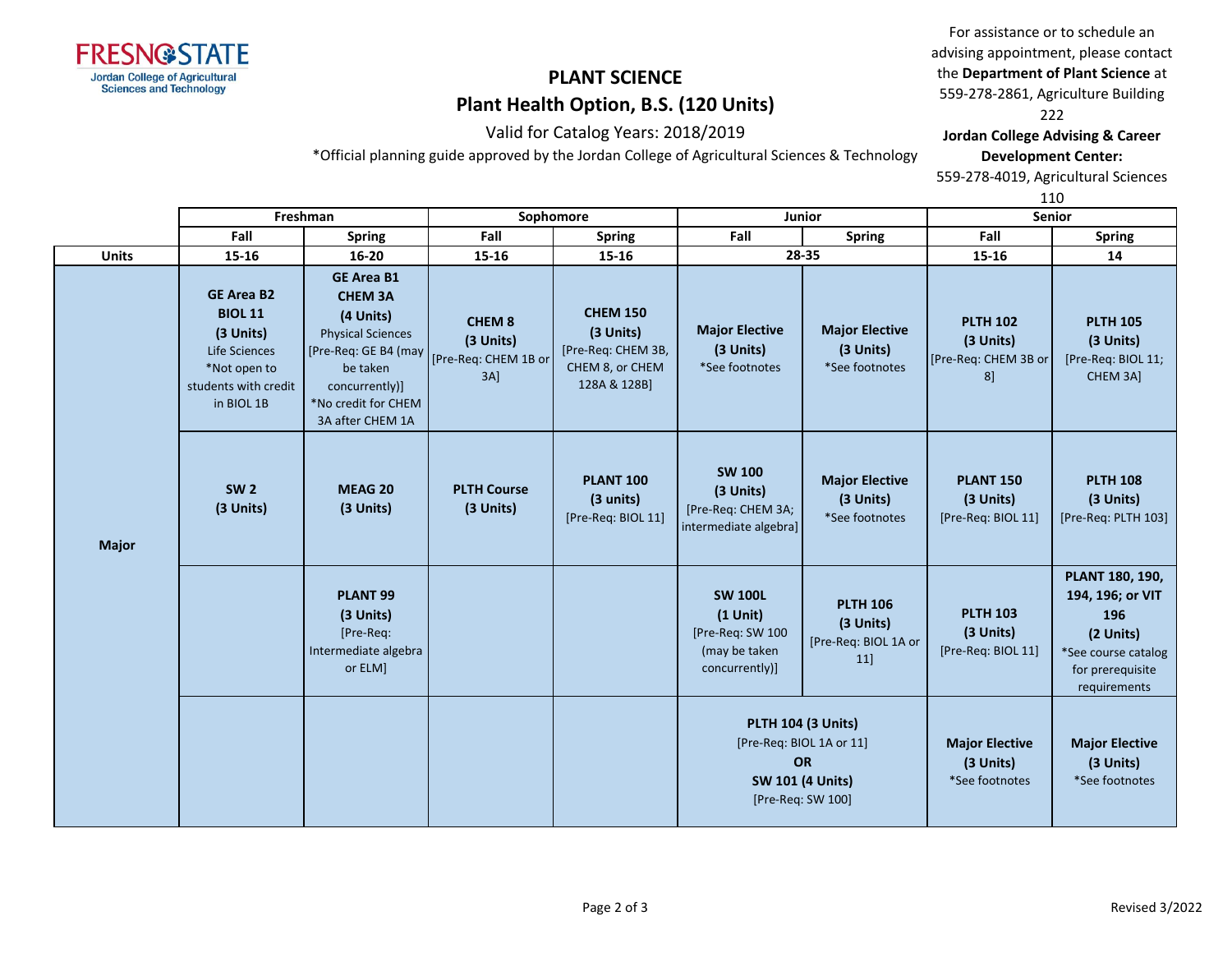

For assistance or to schedule an advising appointment, please contact the **Department of Plant Science** at 559-278-2861, Agriculture Building 222 **Jordan College Advising & Career** 

### Valid for Catalog Years: 2018/2019

\*Official planning guide approved by the Jordan College of Agricultural Sciences & Technology

**Development Center:** 559-278-4019, Agricultural Sciences

110

|              |                                                                                                                         | Freshman                                                                                                                                                                      |                                                             | Sophomore                                                                             |                                                                                                                    | Junior                                                     | Senior                                                     |                                                                                                                    |
|--------------|-------------------------------------------------------------------------------------------------------------------------|-------------------------------------------------------------------------------------------------------------------------------------------------------------------------------|-------------------------------------------------------------|---------------------------------------------------------------------------------------|--------------------------------------------------------------------------------------------------------------------|------------------------------------------------------------|------------------------------------------------------------|--------------------------------------------------------------------------------------------------------------------|
|              | Fall                                                                                                                    | <b>Spring</b>                                                                                                                                                                 | Fall                                                        | <b>Spring</b>                                                                         | Fall                                                                                                               | <b>Spring</b>                                              | Fall                                                       | <b>Spring</b>                                                                                                      |
| <b>Units</b> | 15-16                                                                                                                   | $16 - 20$                                                                                                                                                                     | 15-16                                                       | 15-16                                                                                 |                                                                                                                    | 28-35                                                      | 15-16                                                      | 14                                                                                                                 |
| <b>Major</b> | <b>GE Area B2</b><br><b>BIOL 11</b><br>(3 Units)<br>Life Sciences<br>*Not open to<br>students with credit<br>in BIOL 1B | <b>GE Area B1</b><br><b>CHEM 3A</b><br>(4 Units)<br><b>Physical Sciences</b><br>[Pre-Req: GE B4 (may<br>be taken<br>concurrently)]<br>*No credit for CHEM<br>3A after CHEM 1A | <b>CHEM8</b><br>(3 Units)<br>[Pre-Req: CHEM 1B or<br>$3A$ ] | <b>CHEM 150</b><br>(3 Units)<br>[Pre-Req: CHEM 3B,<br>CHEM 8, or CHEM<br>128A & 128B] | <b>Major Elective</b><br>(3 Units)<br>*See footnotes                                                               | <b>Major Elective</b><br>(3 Units)<br>*See footnotes       | <b>PLTH 102</b><br>(3 Units)<br>[Pre-Req: CHEM 3B or<br>8] | <b>PLTH 105</b><br>(3 Units)<br>[Pre-Req: BIOL 11;<br>CHEM 3A]                                                     |
|              | <b>SW 2</b><br>(3 Units)                                                                                                | MEAG 20<br>(3 Units)                                                                                                                                                          | <b>PLTH Course</b><br>(3 Units)                             | <b>PLANT 100</b><br>(3 units)<br>[Pre-Req: BIOL 11]                                   | <b>SW 100</b><br>(3 Units)<br>[Pre-Req: CHEM 3A;<br>intermediate algebra]                                          | <b>Major Elective</b><br>(3 Units)<br>*See footnotes       | <b>PLANT 150</b><br>(3 Units)<br>[Pre-Req: BIOL 11]        | <b>PLTH 108</b><br>(3 Units)<br>[Pre-Req: PLTH 103]                                                                |
|              |                                                                                                                         | PLANT <sub>99</sub><br>(3 Units)<br>[Pre-Req:<br>Intermediate algebra<br>or ELM]                                                                                              |                                                             |                                                                                       | <b>SW 100L</b><br>$(1$ Unit)<br>[Pre-Req: SW 100<br>(may be taken<br>concurrently)]                                | <b>PLTH 106</b><br>(3 Units)<br>[Pre-Req: BIOL 1A or<br>11 | <b>PLTH 103</b><br>(3 Units)<br>[Pre-Req: BIOL 11]         | PLANT 180, 190,<br>194, 196; or VIT<br>196<br>(2 Units)<br>*See course catalog<br>for prerequisite<br>requirements |
|              |                                                                                                                         |                                                                                                                                                                               |                                                             |                                                                                       | <b>PLTH 104 (3 Units)</b><br>[Pre-Req: BIOL 1A or 11]<br><b>OR</b><br><b>SW 101 (4 Units)</b><br>[Pre-Req: SW 100] |                                                            | <b>Major Elective</b><br>(3 Units)<br>*See footnotes       | <b>Major Elective</b><br>(3 Units)<br>*See footnotes                                                               |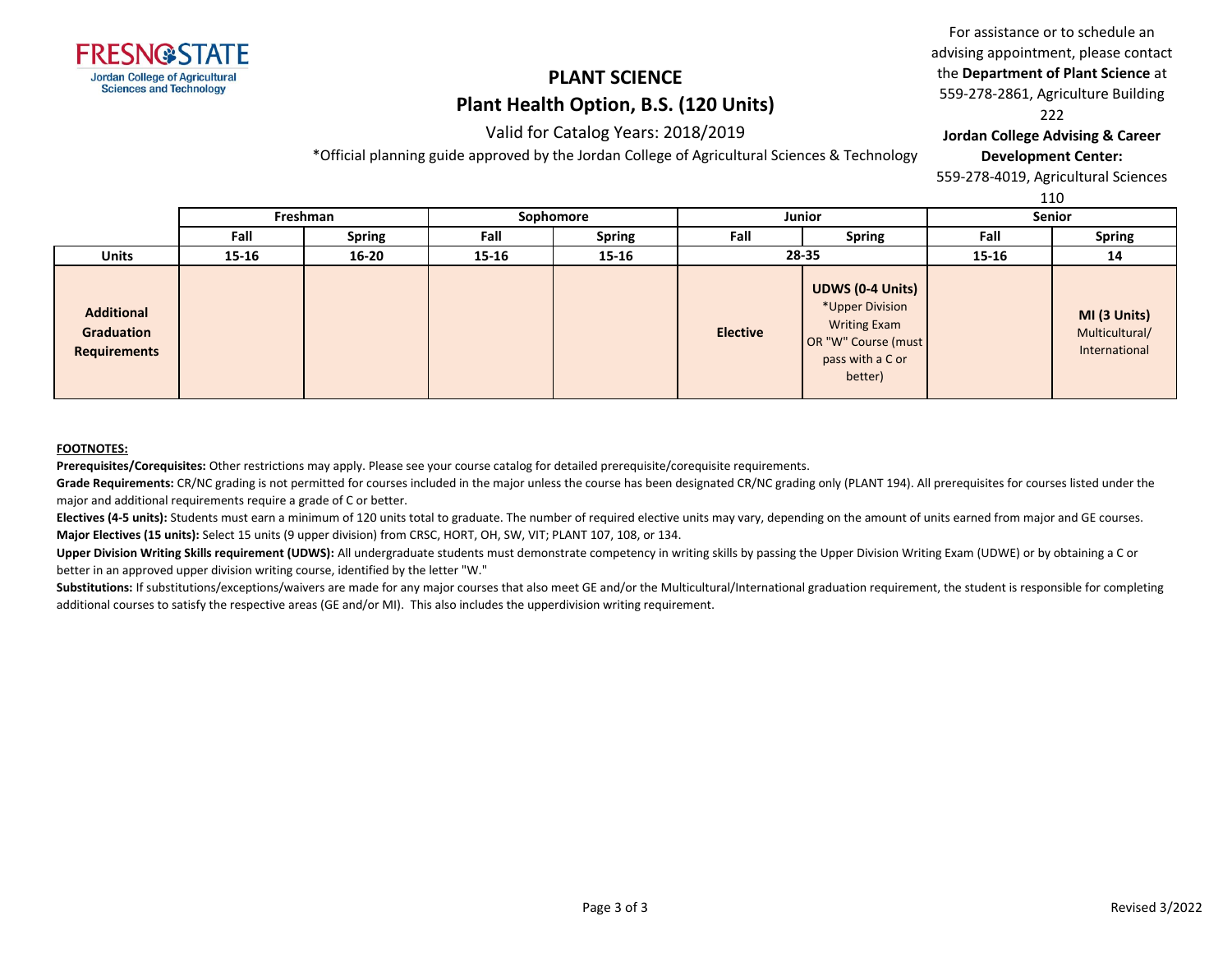

### Valid for Catalog Years: 2018/2019

\*Official planning guide approved by the Jordan College of Agricultural Sciences & Technology

### For assistance or to schedule an advising appointment, please contact the **Department of Plant Science** at 559-278-2861, Agriculture Building 222

**Jordan College Advising & Career Development Center:**

559-278-4019, Agricultural Sciences

110

|                                                        |           |               |           |               |                 |                                                                                                                         |        | ᆠᆂᇦ                                             |
|--------------------------------------------------------|-----------|---------------|-----------|---------------|-----------------|-------------------------------------------------------------------------------------------------------------------------|--------|-------------------------------------------------|
|                                                        | Freshman  |               | Sophomore |               | <b>Junior</b>   |                                                                                                                         | Senior |                                                 |
|                                                        | Fall      | <b>Spring</b> | Fall      | <b>Spring</b> | Fall            | <b>Spring</b>                                                                                                           | Fall   | <b>Spring</b>                                   |
| <b>Units</b>                                           | $15 - 16$ | $16 - 20$     | 15-16     | 15-16         |                 | 28-35                                                                                                                   | 15-16  | 14                                              |
| <b>Additional</b><br>Graduation<br><b>Requirements</b> |           |               |           |               | <b>Elective</b> | <b>UDWS (0-4 Units)</b><br>*Upper Division<br><b>Writing Exam</b><br>OR "W" Course (must<br>pass with a C or<br>better) |        | MI (3 Units)<br>Multicultural/<br>International |

#### **FOOTNOTES:**

**Prerequisites/Corequisites:** Other restrictions may apply. Please see your course catalog for detailed prerequisite/corequisite requirements.

Grade Requirements: CR/NC grading is not permitted for courses included in the major unless the course has been designated CR/NC grading only (PLANT 194). All prerequisites for courses listed under the major and additional requirements require a grade of C or better.

Electives (4-5 units): Students must earn a minimum of 120 units total to graduate. The number of required elective units may vary, depending on the amount of units earned from major and GE courses. **Major Electives (15 units):** Select 15 units (9 upper division) from CRSC, HORT, OH, SW, VIT; PLANT 107, 108, or 134.

**Upper Division Writing Skills requirement (UDWS):** All undergraduate students must demonstrate competency in writing skills by passing the Upper Division Writing Exam (UDWE) or by obtaining a C or better in an approved upper division writing course, identified by the letter "W."

Substitutions: If substitutions/exceptions/waivers are made for any major courses that also meet GE and/or the Multicultural/International graduation requirement, the student is responsible for completing additional courses to satisfy the respective areas (GE and/or MI). This also includes the upperdivision writing requirement.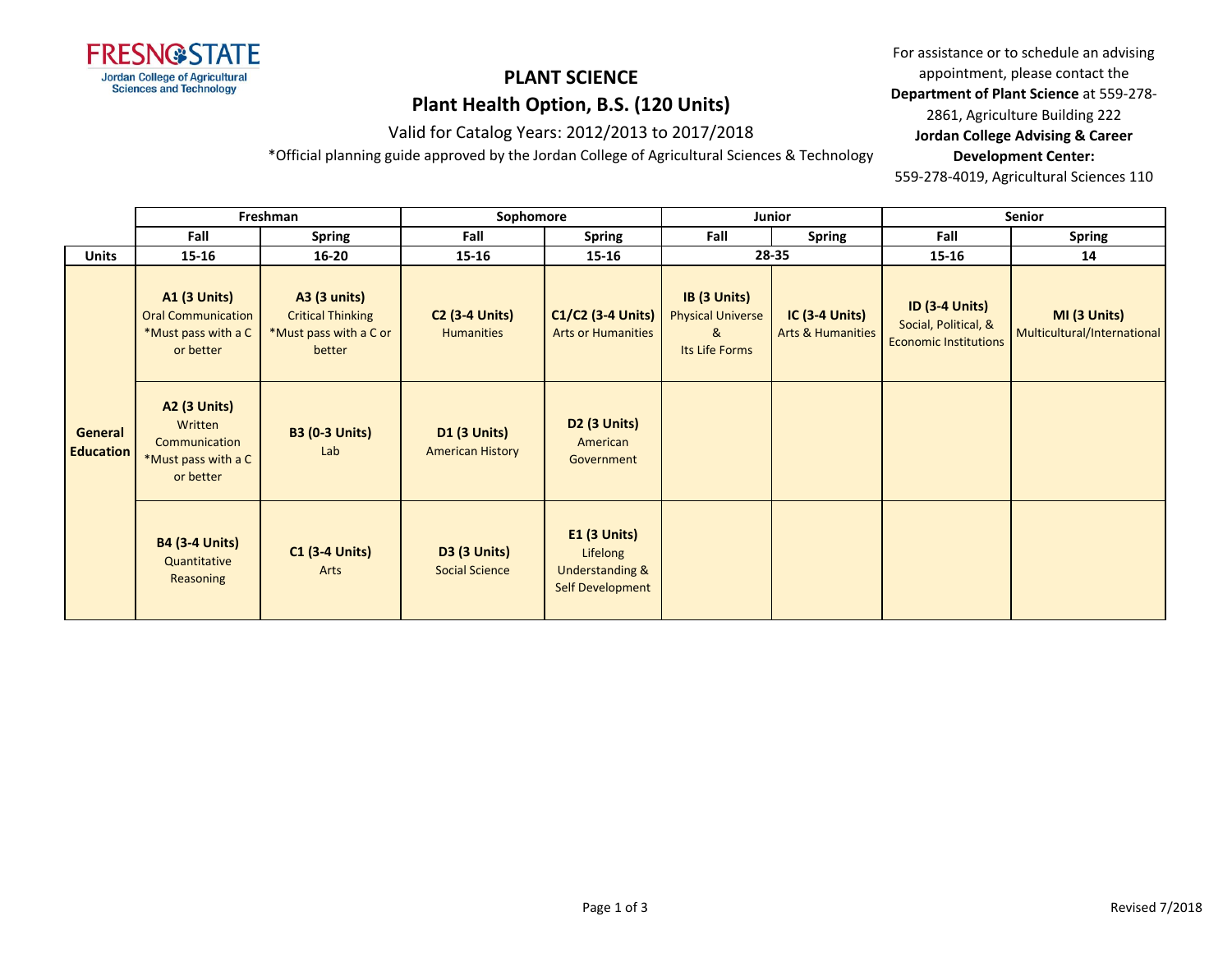

Valid for Catalog Years: 2012/2013 to 2017/2018

\*Official planning guide approved by the Jordan College of Agricultural Sciences & Technology

For assistance or to schedule an advising appointment, please contact the **Department of Plant Science** at 559-278- 2861, Agriculture Building 222 **Jordan College Advising & Career Development Center:**

559-278-4019, Agricultural Sciences 110

|                             | Freshman                                                                             |                                                                                     | Sophomore                                      |                                                                        | Junior                                                          |                                                  | Senior                                                                        |                                             |
|-----------------------------|--------------------------------------------------------------------------------------|-------------------------------------------------------------------------------------|------------------------------------------------|------------------------------------------------------------------------|-----------------------------------------------------------------|--------------------------------------------------|-------------------------------------------------------------------------------|---------------------------------------------|
|                             | Fall                                                                                 | <b>Spring</b>                                                                       | Fall                                           | <b>Spring</b>                                                          | Fall                                                            | Spring                                           | Fall                                                                          | <b>Spring</b>                               |
| <b>Units</b>                | $15 - 16$                                                                            | $16 - 20$                                                                           | 15-16                                          | 15-16                                                                  |                                                                 | 28-35                                            | $15 - 16$                                                                     | 14                                          |
|                             | <b>A1 (3 Units)</b><br><b>Oral Communication</b><br>*Must pass with a C<br>or better | <b>A3 (3 units)</b><br><b>Critical Thinking</b><br>*Must pass with a C or<br>better | <b>C2 (3-4 Units)</b><br><b>Humanities</b>     | C1/C2 (3-4 Units)<br><b>Arts or Humanities</b>                         | IB (3 Units)<br><b>Physical Universe</b><br>&<br>Its Life Forms | $IC$ (3-4 Units)<br><b>Arts &amp; Humanities</b> | <b>ID (3-4 Units)</b><br>Social, Political, &<br><b>Economic Institutions</b> | MI (3 Units)<br>Multicultural/International |
| General<br><b>Education</b> | <b>A2 (3 Units)</b><br>Written<br>Communication<br>*Must pass with a C<br>or better  | <b>B3 (0-3 Units)</b><br>Lab                                                        | <b>D1 (3 Units)</b><br><b>American History</b> | <b>D2 (3 Units)</b><br>American<br>Government                          |                                                                 |                                                  |                                                                               |                                             |
|                             | <b>B4 (3-4 Units)</b><br>Quantitative<br>Reasoning                                   | <b>C1 (3-4 Units)</b><br>Arts                                                       | <b>D3 (3 Units)</b><br><b>Social Science</b>   | <b>E1 (3 Units)</b><br>Lifelong<br>Understanding &<br>Self Development |                                                                 |                                                  |                                                                               |                                             |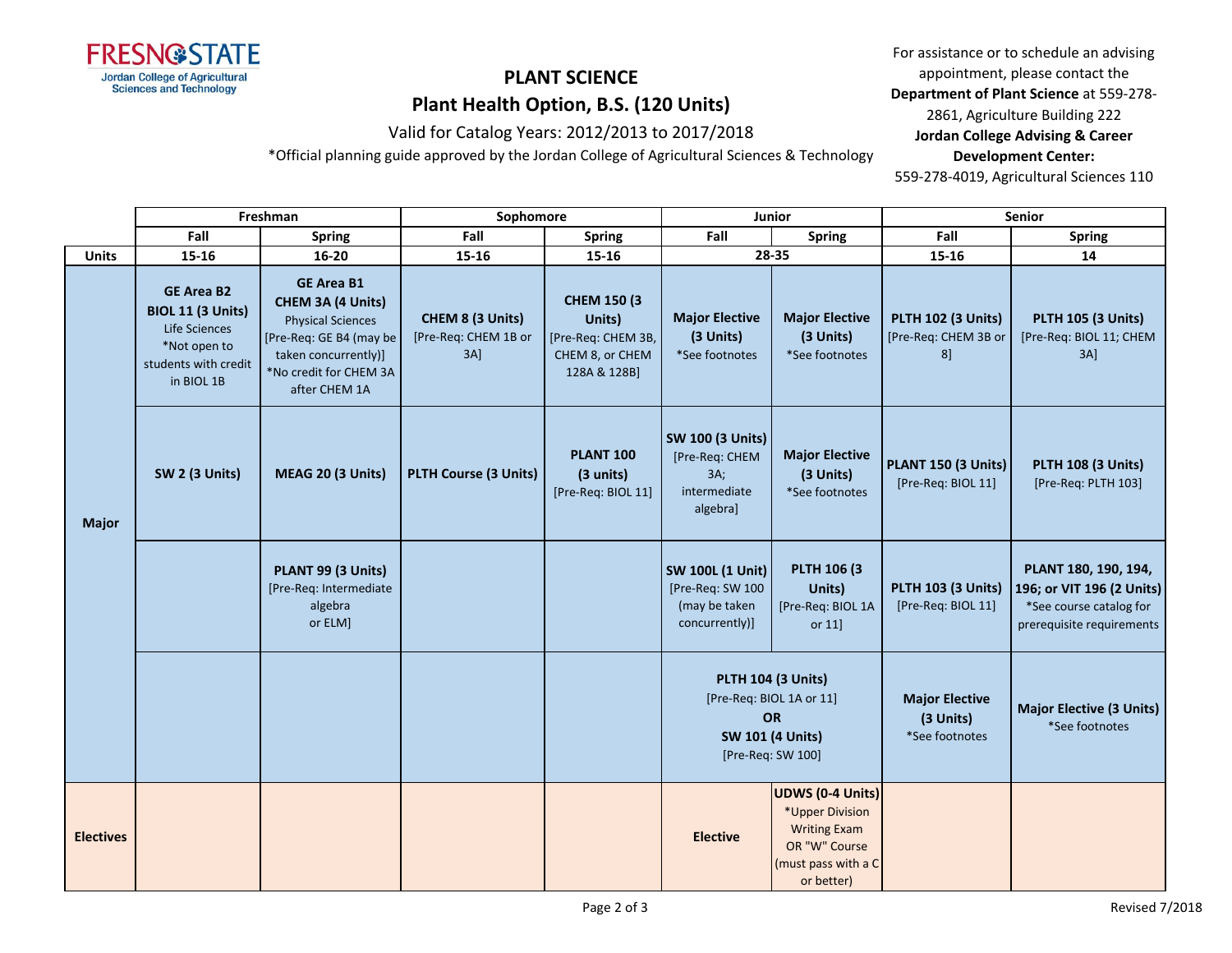

Valid for Catalog Years: 2012/2013 to 2017/2018

\*Official planning guide approved by the Jordan College of Agricultural Sciences & Technology

For assistance or to schedule an advising appointment, please contact the **Department of Plant Science** at 559-278- 2861, Agriculture Building 222 **Jordan College Advising & Career Development Center:**

559-278-4019, Agricultural Sciences 110

|                  | Freshman                                                                                                             |                                                                                                                                                                         | Sophomore                                          |                                                                                        | <b>Junior</b>                                                                                                      |                                                                                                                  | <b>Senior</b>                                              |                                                                                                           |
|------------------|----------------------------------------------------------------------------------------------------------------------|-------------------------------------------------------------------------------------------------------------------------------------------------------------------------|----------------------------------------------------|----------------------------------------------------------------------------------------|--------------------------------------------------------------------------------------------------------------------|------------------------------------------------------------------------------------------------------------------|------------------------------------------------------------|-----------------------------------------------------------------------------------------------------------|
|                  | Fall                                                                                                                 | <b>Spring</b>                                                                                                                                                           | Fall                                               | <b>Spring</b>                                                                          | Fall                                                                                                               | <b>Spring</b>                                                                                                    | Fall                                                       | <b>Spring</b>                                                                                             |
| <b>Units</b>     | $15 - 16$                                                                                                            | $16 - 20$                                                                                                                                                               | 15-16                                              | 15-16                                                                                  | 28-35                                                                                                              |                                                                                                                  | 15-16                                                      | 14                                                                                                        |
| <b>Major</b>     | <b>GE Area B2</b><br><b>BIOL 11 (3 Units)</b><br>Life Sciences<br>*Not open to<br>students with credit<br>in BIOL 1B | <b>GE Area B1</b><br><b>CHEM 3A (4 Units)</b><br><b>Physical Sciences</b><br>[Pre-Req: GE B4 (may be<br>taken concurrently)]<br>*No credit for CHEM 3A<br>after CHEM 1A | CHEM 8 (3 Units)<br>[Pre-Req: CHEM 1B or<br>$3A$ ] | <b>CHEM 150 (3)</b><br>Units)<br>[Pre-Req: CHEM 3B,<br>CHEM 8, or CHEM<br>128A & 128B] | <b>Major Elective</b><br>(3 Units)<br>*See footnotes                                                               | <b>Major Elective</b><br>(3 Units)<br>*See footnotes                                                             | <b>PLTH 102 (3 Units)</b><br>[Pre-Req: CHEM 3B or<br>$8$ ] | <b>PLTH 105 (3 Units)</b><br>[Pre-Req: BIOL 11; CHEM<br>$3A$ ]                                            |
|                  | SW 2 (3 Units)                                                                                                       | MEAG 20 (3 Units)                                                                                                                                                       | PLTH Course (3 Units)                              | <b>PLANT 100</b><br>(3 units)<br>[Pre-Req: BIOL 11]                                    | <b>SW 100 (3 Units)</b><br>[Pre-Req: CHEM<br>3A;<br>intermediate<br>algebra]                                       | <b>Major Elective</b><br>(3 Units)<br>*See footnotes                                                             | PLANT 150 (3 Units)<br>[Pre-Req: BIOL 11]                  | <b>PLTH 108 (3 Units)</b><br>[Pre-Req: PLTH 103]                                                          |
|                  |                                                                                                                      | PLANT 99 (3 Units)<br>[Pre-Req: Intermediate<br>algebra<br>or ELM]                                                                                                      |                                                    |                                                                                        | <b>SW 100L (1 Unit)</b><br>[Pre-Req: SW 100<br>(may be taken<br>concurrently)]                                     | <b>PLTH 106 (3)</b><br>Units)<br>[Pre-Req: BIOL 1A<br>or 11]                                                     | <b>PLTH 103 (3 Units)</b><br>[Pre-Req: BIOL 11]            | PLANT 180, 190, 194,<br>196; or VIT 196 (2 Units)<br>*See course catalog for<br>prerequisite requirements |
|                  |                                                                                                                      |                                                                                                                                                                         |                                                    |                                                                                        | <b>PLTH 104 (3 Units)</b><br>[Pre-Req: BIOL 1A or 11]<br><b>OR</b><br><b>SW 101 (4 Units)</b><br>[Pre-Req: SW 100] |                                                                                                                  | <b>Major Elective</b><br>(3 Units)<br>*See footnotes       | <b>Major Elective (3 Units)</b><br>*See footnotes                                                         |
| <b>Electives</b> |                                                                                                                      |                                                                                                                                                                         |                                                    |                                                                                        | <b>Elective</b>                                                                                                    | UDWS (0-4 Units)<br>*Upper Division<br><b>Writing Exam</b><br>OR "W" Course<br>(must pass with a C<br>or better) |                                                            |                                                                                                           |